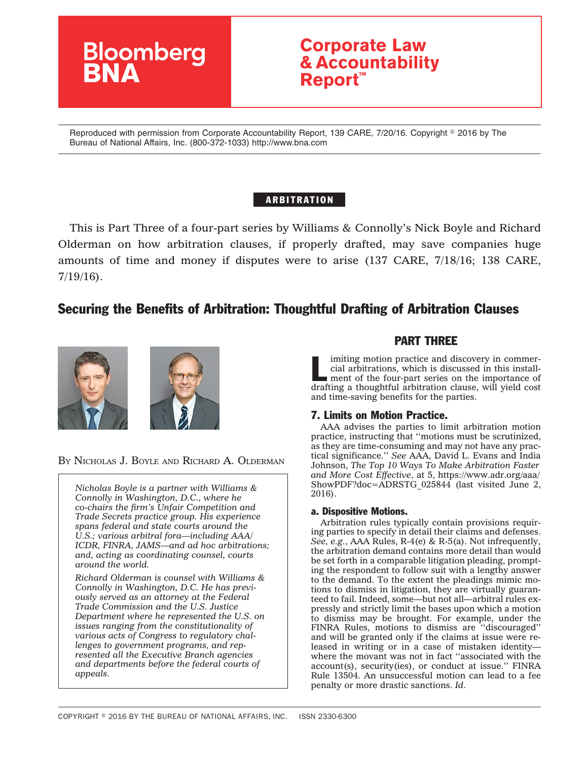

Reproduced with permission from Corporate Accountability Report, 139 CARE, 7/20/16. Copyright © 2016 by The Bureau of National Affairs, Inc. (800-372-1033) http://www.bna.com

# ARBITRATION

This is Part Three of a four-part series by Williams & Connolly's Nick Boyle and Richard Olderman on how arbitration clauses, if properly drafted, may save companies huge amounts of time and money if disputes were to arise (137 CARE, 7/18/16; 138 CARE,  $7/19/16$ ).

# Securing the Benefits of Arbitration: Thoughtful Drafting of Arbitration Clauses



BY NICHOLAS J. BOYLE AND RICHARD A. OLDERMAN

*Nicholas Boyle is a partner with Williams & Connolly in Washington, D.C., where he co-chairs the firm's Unfair Competition and Trade Secrets practice group. His experience spans federal and state courts around the U.S.; various arbitral fora—including AAA/ ICDR, FINRA, JAMS—and ad hoc arbitrations; and, acting as coordinating counsel, courts around the world.*

*Richard Olderman is counsel with Williams & Connolly in Washington, D.C. He has previously served as an attorney at the Federal Trade Commission and the U.S. Justice Department where he represented the U.S. on issues ranging from the constitutionality of various acts of Congress to regulatory challenges to government programs, and represented all the Executive Branch agencies and departments before the federal courts of appeals.*

## PART THREE

imiting motion practice and discovery in commercial arbitrations, which is discussed in this installment of the four-part series on the importance of drafting a thoughtful arbitration clause, will yield cost and time-saving benefits for the parties.

## 7. Limits on Motion Practice.

AAA advises the parties to limit arbitration motion practice, instructing that ''motions must be scrutinized, as they are time-consuming and may not have any practical significance.'' *See* AAA, David L. Evans and India Johnson, *The Top 10 Ways To Make Arbitration Faster and More Cost Effective*, at 5, [https://www.adr.org/aaa/](https://www.adr.org/aaa/ShowPDF?doc=ADRSTG_025844) [ShowPDF?doc=ADRSTG\\_025844](https://www.adr.org/aaa/ShowPDF?doc=ADRSTG_025844) (last visited June 2, 2016).

### a. Dispositive Motions.

Arbitration rules typically contain provisions requiring parties to specify in detail their claims and defenses. *See, e.g.*, AAA Rules, R-4(e) & R-5(a). Not infrequently, the arbitration demand contains more detail than would be set forth in a comparable litigation pleading, prompting the respondent to follow suit with a lengthy answer to the demand. To the extent the pleadings mimic motions to dismiss in litigation, they are virtually guaranteed to fail. Indeed, some—but not all—arbitral rules expressly and strictly limit the bases upon which a motion to dismiss may be brought. For example, under the FINRA Rules, motions to dismiss are ''discouraged'' and will be granted only if the claims at issue were released in writing or in a case of mistaken identity where the movant was not in fact "associated with the account(s), security(ies), or conduct at issue.'' FINRA Rule 13504. An unsuccessful motion can lead to a fee penalty or more drastic sanctions. *Id*.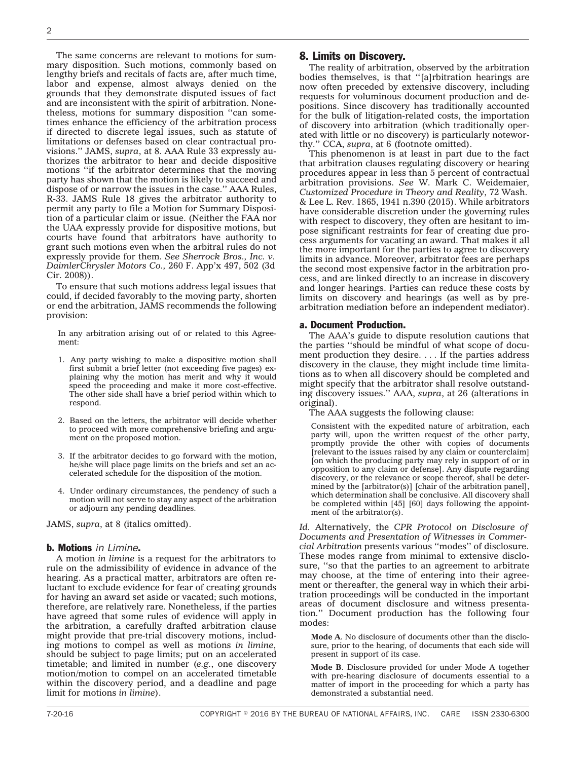The same concerns are relevant to motions for summary disposition. Such motions, commonly based on lengthy briefs and recitals of facts are, after much time, labor and expense, almost always denied on the grounds that they demonstrate disputed issues of fact and are inconsistent with the spirit of arbitration. Nonetheless, motions for summary disposition ''can sometimes enhance the efficiency of the arbitration process if directed to discrete legal issues, such as statute of limitations or defenses based on clear contractual provisions.'' JAMS, *supra*, at 8. AAA Rule 33 expressly authorizes the arbitrator to hear and decide dispositive motions ''if the arbitrator determines that the moving party has shown that the motion is likely to succeed and dispose of or narrow the issues in the case.'' AAA Rules, R-33. JAMS Rule 18 gives the arbitrator authority to permit any party to file a Motion for Summary Disposition of a particular claim or issue. (Neither the FAA nor the UAA expressly provide for dispositive motions, but courts have found that arbitrators have authority to grant such motions even when the arbitral rules do not expressly provide for them. *See Sherrock Bros., Inc. v. DaimlerChrysler Motors Co.,* 260 F. App'x 497, 502 (3d Cir. 2008)).

To ensure that such motions address legal issues that could, if decided favorably to the moving party, shorten or end the arbitration, JAMS recommends the following provision:

In any arbitration arising out of or related to this Agreement:

- 1. Any party wishing to make a dispositive motion shall first submit a brief letter (not exceeding five pages) explaining why the motion has merit and why it would speed the proceeding and make it more cost-effective. The other side shall have a brief period within which to respond.
- 2. Based on the letters, the arbitrator will decide whether to proceed with more comprehensive briefing and argument on the proposed motion.
- 3. If the arbitrator decides to go forward with the motion, he/she will place page limits on the briefs and set an accelerated schedule for the disposition of the motion.
- 4. Under ordinary circumstances, the pendency of such a motion will not serve to stay any aspect of the arbitration or adjourn any pending deadlines.

JAMS, *supra*, at 8 (italics omitted).

#### b. Motions *in Limine*.

A motion *in limine* is a request for the arbitrators to rule on the admissibility of evidence in advance of the hearing. As a practical matter, arbitrators are often reluctant to exclude evidence for fear of creating grounds for having an award set aside or vacated; such motions, therefore, are relatively rare. Nonetheless, if the parties have agreed that some rules of evidence will apply in the arbitration, a carefully drafted arbitration clause might provide that pre-trial discovery motions, including motions to compel as well as motions *in limine*, should be subject to page limits; put on an accelerated timetable; and limited in number (*e.g.*, one discovery motion/motion to compel on an accelerated timetable within the discovery period, and a deadline and page limit for motions *in limine*).

#### 8. Limits on Discovery.

The reality of arbitration, observed by the arbitration bodies themselves, is that ''[a]rbitration hearings are now often preceded by extensive discovery, including requests for voluminous document production and depositions. Since discovery has traditionally accounted for the bulk of litigation-related costs, the importation of discovery into arbitration (which traditionally operated with little or no discovery) is particularly noteworthy.'' CCA, *supra*, at 6 (footnote omitted).

This phenomenon is at least in part due to the fact that arbitration clauses regulating discovery or hearing procedures appear in less than 5 percent of contractual arbitration provisions. *See* W. Mark C. Weidemaier, *Customized Procedure in Theory and Reality*, 72 Wash. & Lee L. Rev. 1865, 1941 n.390 (2015). While arbitrators have considerable discretion under the governing rules with respect to discovery, they often are hesitant to impose significant restraints for fear of creating due process arguments for vacating an award. That makes it all the more important for the parties to agree to discovery limits in advance. Moreover, arbitrator fees are perhaps the second most expensive factor in the arbitration process, and are linked directly to an increase in discovery and longer hearings. Parties can reduce these costs by limits on discovery and hearings (as well as by prearbitration mediation before an independent mediator).

#### a. Document Production.

The AAA's guide to dispute resolution cautions that the parties ''should be mindful of what scope of document production they desire. . . . If the parties address discovery in the clause, they might include time limitations as to when all discovery should be completed and might specify that the arbitrator shall resolve outstanding discovery issues.'' AAA, *supra*, at 26 (alterations in original).

The AAA suggests the following clause:

Consistent with the expedited nature of arbitration, each party will, upon the written request of the other party, promptly provide the other with copies of documents [relevant to the issues raised by any claim or counterclaim] [on which the producing party may rely in support of or in opposition to any claim or defense]. Any dispute regarding discovery, or the relevance or scope thereof, shall be determined by the [arbitrator(s)] [chair of the arbitration panel], which determination shall be conclusive. All discovery shall be completed within [45] [60] days following the appointment of the arbitrator(s).

*Id.* Alternatively, the *CPR Protocol on Disclosure of Documents and Presentation of Witnesses in Commercial Arbitration* presents various ''modes'' of disclosure. These modes range from minimal to extensive disclosure, "so that the parties to an agreement to arbitrate may choose, at the time of entering into their agreement or thereafter, the general way in which their arbitration proceedings will be conducted in the important areas of document disclosure and witness presentation.'' Document production has the following four modes:

**Mode A**. No disclosure of documents other than the disclosure, prior to the hearing, of documents that each side will present in support of its case.

**Mode B**. Disclosure provided for under Mode A together with pre-hearing disclosure of documents essential to a matter of import in the proceeding for which a party has demonstrated a substantial need.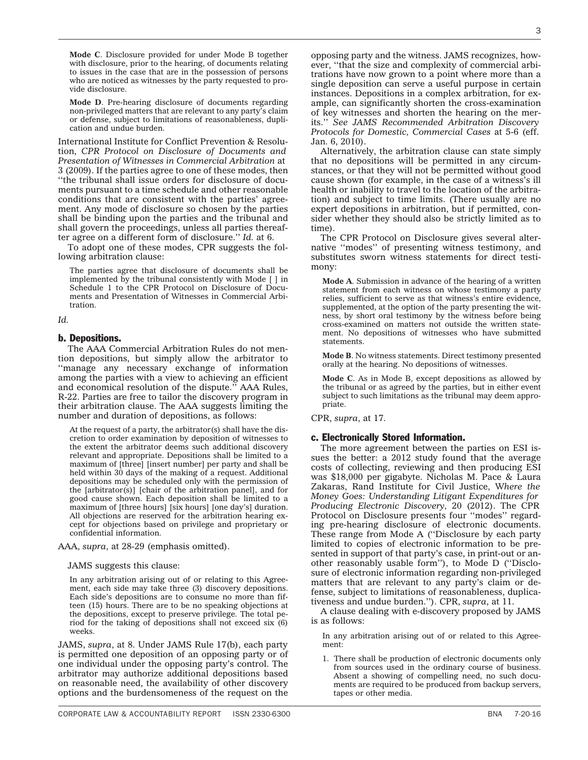**Mode C**. Disclosure provided for under Mode B together with disclosure, prior to the hearing, of documents relating to issues in the case that are in the possession of persons who are noticed as witnesses by the party requested to provide disclosure.

**Mode D**. Pre-hearing disclosure of documents regarding non-privileged matters that are relevant to any party's claim or defense, subject to limitations of reasonableness, duplication and undue burden.

International Institute for Conflict Prevention & Resolution, *CPR Protocol on Disclosure of Documents and Presentation of Witnesses in Commercial Arbitration* at 3 (2009). If the parties agree to one of these modes, then ''the tribunal shall issue orders for disclosure of documents pursuant to a time schedule and other reasonable conditions that are consistent with the parties' agreement. Any mode of disclosure so chosen by the parties shall be binding upon the parties and the tribunal and shall govern the proceedings, unless all parties thereafter agree on a different form of disclosure.'' *Id.* at 6.

To adopt one of these modes, CPR suggests the following arbitration clause:

The parties agree that disclosure of documents shall be implemented by the tribunal consistently with Mode [ ] in Schedule 1 to the CPR Protocol on Disclosure of Documents and Presentation of Witnesses in Commercial Arbitration.

#### *Id.*

#### b. Depositions.

The AAA Commercial Arbitration Rules do not mention depositions, but simply allow the arbitrator to ''manage any necessary exchange of information among the parties with a view to achieving an efficient and economical resolution of the dispute.'' AAA Rules, R-22. Parties are free to tailor the discovery program in their arbitration clause. The AAA suggests limiting the number and duration of depositions, as follows:

At the request of a party, the arbitrator(s) shall have the discretion to order examination by deposition of witnesses to the extent the arbitrator deems such additional discovery relevant and appropriate. Depositions shall be limited to a maximum of [three] [insert number] per party and shall be held within 30 days of the making of a request. Additional depositions may be scheduled only with the permission of the [arbitrator(s)] [chair of the arbitration panel], and for good cause shown. Each deposition shall be limited to a maximum of [three hours] [six hours] [one day's] duration. All objections are reserved for the arbitration hearing except for objections based on privilege and proprietary or confidential information.

AAA, *supra*, at 28-29 (emphasis omitted).

JAMS suggests this clause:

In any arbitration arising out of or relating to this Agreement, each side may take three (3) discovery depositions. Each side's depositions are to consume no more than fifteen (15) hours. There are to be no speaking objections at the depositions, except to preserve privilege. The total period for the taking of depositions shall not exceed six (6) weeks.

JAMS, *supra*, at 8. Under JAMS Rule 17(b), each party is permitted one deposition of an opposing party or of one individual under the opposing party's control. The arbitrator may authorize additional depositions based on reasonable need, the availability of other discovery options and the burdensomeness of the request on the

opposing party and the witness. JAMS recognizes, however, ''that the size and complexity of commercial arbitrations have now grown to a point where more than a single deposition can serve a useful purpose in certain instances. Depositions in a complex arbitration, for example, can significantly shorten the cross-examination of key witnesses and shorten the hearing on the merits.'' *See JAMS Recommended Arbitration Discovery Protocols for Domestic, Commercial Cases* at 5-6 (eff. Jan. 6, 2010).

Alternatively, the arbitration clause can state simply that no depositions will be permitted in any circumstances, or that they will not be permitted without good cause shown (for example, in the case of a witness's ill health or inability to travel to the location of the arbitration) and subject to time limits. (There usually are no expert depositions in arbitration, but if permitted, consider whether they should also be strictly limited as to time).

The CPR Protocol on Disclosure gives several alternative ''modes'' of presenting witness testimony, and substitutes sworn witness statements for direct testimony:

**Mode A**. Submission in advance of the hearing of a written statement from each witness on whose testimony a party relies, sufficient to serve as that witness's entire evidence, supplemented, at the option of the party presenting the witness, by short oral testimony by the witness before being cross-examined on matters not outside the written statement. No depositions of witnesses who have submitted statements.

**Mode B**. No witness statements. Direct testimony presented orally at the hearing. No depositions of witnesses.

**Mode C**. As in Mode B, except depositions as allowed by the tribunal or as agreed by the parties, but in either event subject to such limitations as the tribunal may deem appropriate.

CPR, *supra*, at 17.

#### c. Electronically Stored Information.

The more agreement between the parties on ESI issues the better: a 2012 study found that the average costs of collecting, reviewing and then producing ESI was \$18,000 per gigabyte. Nicholas M. Pace & Laura Zakaras, Rand Institute for Civil Justice, W*here the Money Goes: Understanding Litigant Expenditures for Producing Electronic Discovery,* 20 (2012). The CPR Protocol on Disclosure presents four ''modes'' regarding pre-hearing disclosure of electronic documents. These range from Mode A (''Disclosure by each party limited to copies of electronic information to be presented in support of that party's case, in print-out or another reasonably usable form''), to Mode D (''Disclosure of electronic information regarding non-privileged matters that are relevant to any party's claim or defense, subject to limitations of reasonableness, duplicativeness and undue burden.''). CPR, *supra*, at 11.

A clause dealing with e-discovery proposed by JAMS is as follows:

In any arbitration arising out of or related to this Agreement:

1. There shall be production of electronic documents only from sources used in the ordinary course of business. Absent a showing of compelling need, no such documents are required to be produced from backup servers, tapes or other media.